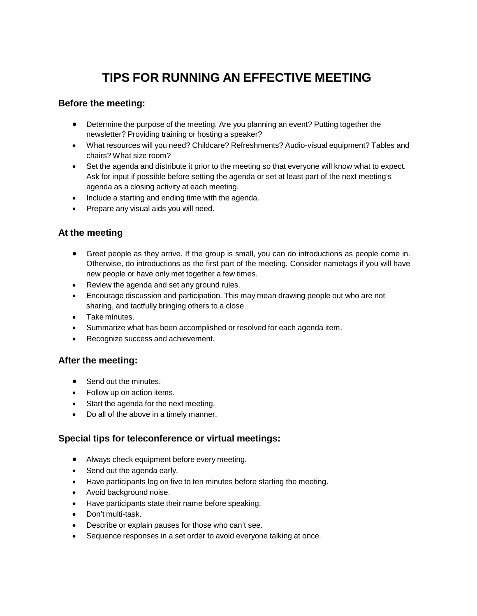# **TIPS FOR RUNNING AN EFFECTIVE MEETING**

### **Before the meeting:**

- Determine the purpose of the meeting. Are you planning an event? Putting together the newsletter? Providing training or hosting a speaker?
- What resources will you need? Childcare? Refreshments? Audio-visual equipment? Tables and chairs? What size room?
- Set the agenda and distribute it prior to the meeting so that everyone will know what to expect. Ask for input if possible before setting the agenda or set at least part of the next meeting's agenda as a closing activity at each meeting.
- Include a starting and ending time with the agenda.
- Prepare any visual aids you will need.

### **At the meeting**

- Greet people as they arrive. If the group is small, you can do introductions as people come in. Otherwise, do introductions as the first part of the meeting. Consider nametags if you will have new people or have only met together a few times.
- Review the agenda and set any ground rules.
- Encourage discussion and participation. This may mean drawing people out who are not sharing, and tactfully bringing others to a close.
- Take minutes.
- Summarize what has been accomplished or resolved for each agenda item.
- Recognize success and achievement.

#### **After the meeting:**

- Send out the minutes.
- Follow up on action items.
- Start the agenda for the next meeting.
- Do all of the above in a timely manner.

### **Special tips for teleconference or virtual meetings:**

- Always check equipment before every meeting.
- Send out the agenda early.
- Have participants log on five to ten minutes before starting the meeting.
- Avoid background noise.
- Have participants state their name before speaking.
- Don't multi-task.
- Describe or explain pauses for those who can't see.
- Sequence responses in a set order to avoid everyone talking at once.